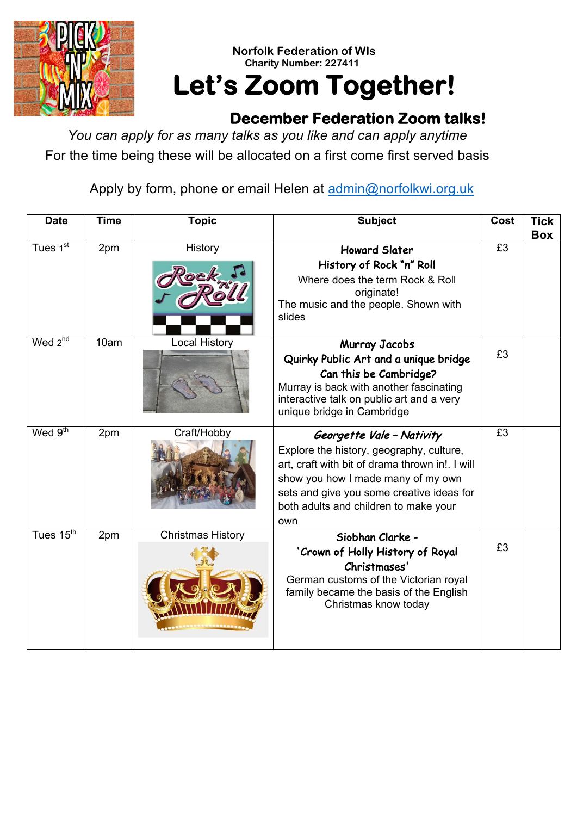

## **Norfolk Federation of WIs Charity Number: 227411 Let's Zoom Together!**

## **December Federation Zoom talks!**

*You can apply for as many talks as you like and can apply anytime* For the time being these will be allocated on a first come first served basis

Apply by form, phone or email Helen at admin@norfolkwi.org.uk

| <b>Date</b>              | <b>Time</b> | <b>Topic</b>         | <b>Subject</b>                                                                                                                                                                                                                                              | Cost | Tick<br><b>Box</b> |
|--------------------------|-------------|----------------------|-------------------------------------------------------------------------------------------------------------------------------------------------------------------------------------------------------------------------------------------------------------|------|--------------------|
| Tues $1^{\overline{st}}$ | 2pm         | History              | <b>Howard Slater</b><br>History of Rock "n" Roll<br>Where does the term Rock & Roll<br>originate!<br>The music and the people. Shown with<br>slides                                                                                                         | £3   |                    |
| Wed $2^{n\overline{d}}$  | 10am        | <b>Local History</b> | Murray Jacobs<br>Quirky Public Art and a unique bridge<br>Can this be Cambridge?<br>Murray is back with another fascinating<br>interactive talk on public art and a very<br>unique bridge in Cambridge                                                      | £3   |                    |
| Wed $9th$                | 2pm         | Craft/Hobby          | Georgette Vale - Nativity<br>Explore the history, geography, culture,<br>art, craft with bit of drama thrown in!. I will<br>show you how I made many of my own<br>sets and give you some creative ideas for<br>both adults and children to make your<br>own | £3   |                    |
| Tues $15^{\text{th}}$    | 2pm         | Christmas History    | Siobhan Clarke -<br>'Crown of Holly History of Royal<br>Christmases'<br>German customs of the Victorian royal<br>family became the basis of the English<br>Christmas know today                                                                             | £3   |                    |